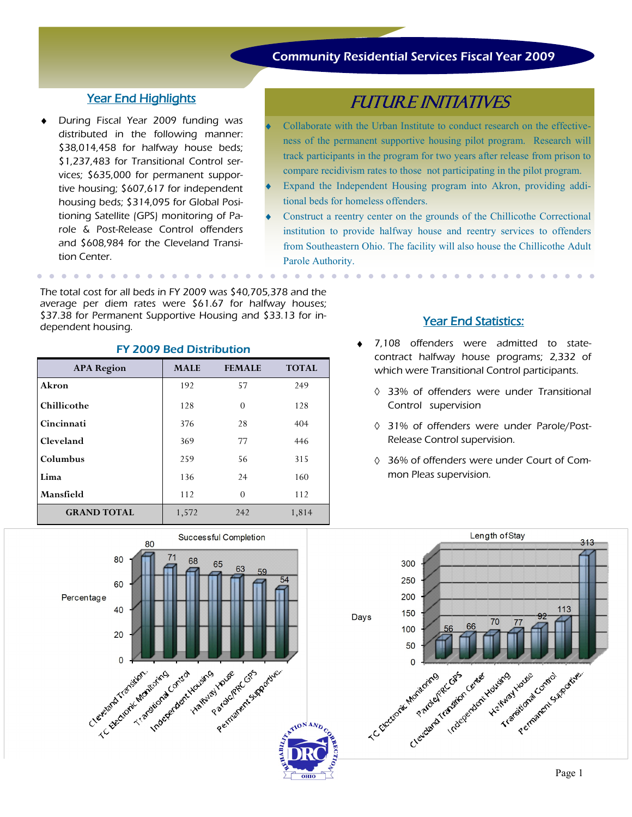## Community Residential Services Fiscal Year 2009

### Year End Highlights

During Fiscal Year 2009 funding was distributed in the following manner: \$38,014,458 for halfway house beds; \$1,237,483 for Transitional Control services; \$635,000 for permanent supportive housing; \$607,617 for independent housing beds; \$314,095 for Global Positioning Satellite (GPS) monitoring of Parole & Post-Release Control offenders and \$608,984 for the Cleveland Transition Center.

. . . . . . . . . . .

FUTURE INITIATIVES

- Collaborate with the Urban Institute to conduct research on the effectiveness of the permanent supportive housing pilot program. Research will track participants in the program for two years after release from prison to compare recidivism rates to those not participating in the pilot program.
- Expand the Independent Housing program into Akron, providing additional beds for homeless offenders.
- Construct a reentry center on the grounds of the Chillicothe Correctional institution to provide halfway house and reentry services to offenders from Southeastern Ohio. The facility will also house the Chillicothe Adult Parole Authority.

 $\begin{array}{cccccccccc} \bullet & \bullet & \bullet & \bullet & \bullet & \bullet \end{array}$ 

The total cost for all beds in FY 2009 was \$40,705,378 and the average per diem rates were \$61.67 for halfway houses; \$37.38 for Permanent Supportive Housing and \$33.13 for in-<br>dependent housing.

| <b>APA Region</b>  | <b>MALE</b> | <b>FEMALE</b> | <b>TOTAL</b> |
|--------------------|-------------|---------------|--------------|
| Akron              | 192         | 57            | 249          |
| Chillicothe        | 128         | $\theta$      | 128          |
| Cincinnati         | 376         | 28            | 404          |
| Cleveland          | 369         | 77            | 446          |
| Columbus           | 259         | 56            | 315          |
| Lima               | 136         | 24            | 160          |
| Mansfield          | 112         | $\Omega$      | 112          |
| <b>GRAND TOTAL</b> | 1,572       | 242           | 1,814        |

### FY 2009 Bed Distribution

- 7,108 offenders were admitted to statecontract halfway house programs; 2,332 of which were Transitional Control participants.
	- 33% of offenders were under Transitional Control supervision
	- 31% of offenders were under Parole/Post-Release Control supervision.
	- 36% of offenders were under Court of Common Pleas supervision.



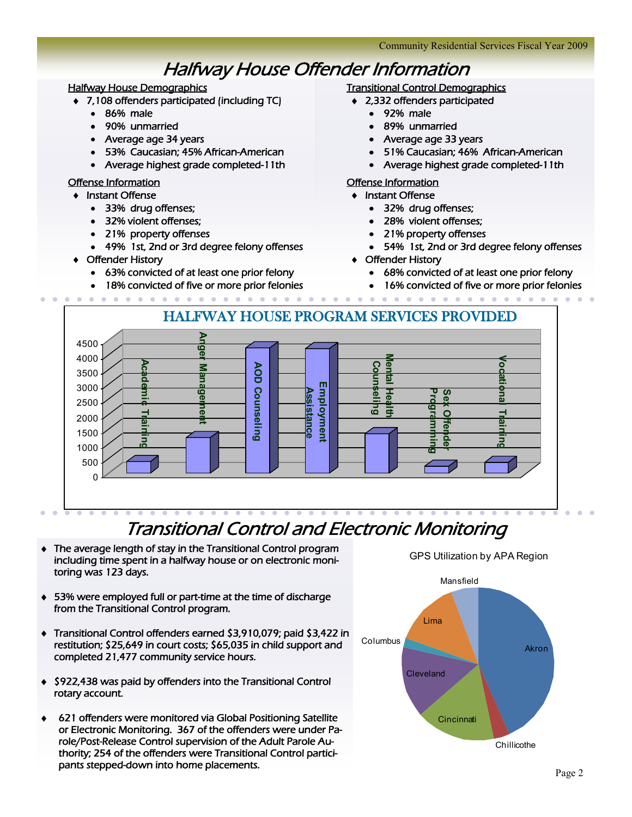# Halfway House Offender Information

### Halfway House Demographics

- 7,108 offenders participated (including TC)
	- 86% male
	- 90% unmarried
	- Average age 34 years
	- 53% Caucasian; 45% African-American
	- Average highest grade completed-11th

#### Offense Information

- **◆ Instant Offense** 
	- 33% drug offenses;
	- 32% violent offenses;
	- 21% property offenses
	- 49% 1st, 2nd or 3rd degree felony offenses
- Offender History
	- 63% convicted of at least one prior felony
	- 18% convicted of five or more prior felonies

# Transitional Control Demographics

- 2,332 offenders participated
	- 92% male
		- 89% unmarried
	- Average age 33 years
	- 51% Caucasian; 46% African-American
	- Average highest grade completed-11th

#### Offense Information

- **+** Instant Offense
	- 32% drug offenses;
	- 28% violent offenses;
	- 21% property offenses
	- 54% 1st, 2nd or 3rd degree felony offenses
- Offender History
	- 68% convicted of at least one prior felony
	- 16% convicted of five or more prior felonies



# Transitional Control and Electronic Monitoring

- The average length of stay in the Transitional Control program including time spent in a halfway house or on electronic monitoring was 123 days.
- 53% were employed full or part-time at the time of discharge from the Transitional Control program.
- Transitional Control offenders earned \$3,910,079; paid \$3,422 in restitution; \$25,649 in court costs; \$65,035 in child support and completed 21,477 community service hours.
- ◆ \$922,438 was paid by offenders into the Transitional Control rotary account.
- 621 offenders were monitored via Global Positioning Satellite or Electronic Monitoring. 367 of the offenders were under Parole/Post-Release Control supervision of the Adult Parole Authority; 254 of the offenders were Transitional Control participants stepped-down into home placements.



### GPS Utilization by APA Region